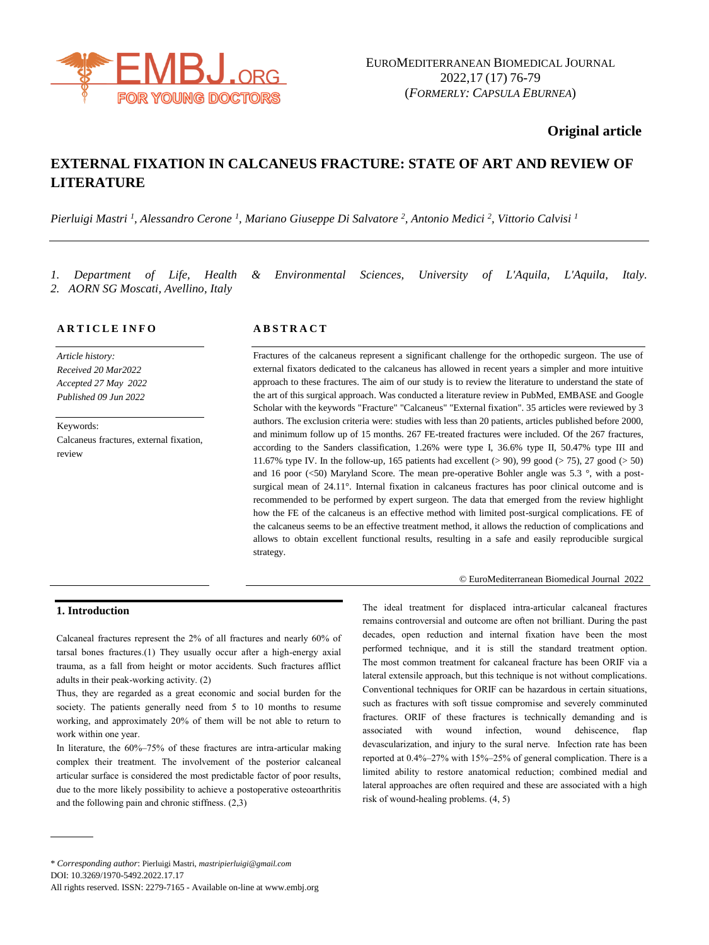

## **Original article**

# **EXTERNAL FIXATION IN CALCANEUS FRACTURE: STATE OF ART AND REVIEW OF LITERATURE**

*Pierluigi Mastri <sup>1</sup> , Alessandro Cerone <sup>1</sup> , Mariano Giuseppe Di Salvatore <sup>2</sup> , Antonio Medici <sup>2</sup> , Vittorio Calvisi <sup>1</sup>*

*2. AORN SG Moscati, Avellino, Italy*

*1. Department of Life, Health & Environmental Sciences, University of L'Aquila, L'Aquila, Italy.* 

## **A R T I C L E I N F O**

*Article history: Received 20 Mar2022 Accepted 27 May 2022 Published 09 Jun 2022*

Keywords: Calcaneus fractures, external fixation, review

## **A B S T R A C T**

Fractures of the calcaneus represent a significant challenge for the orthopedic surgeon. The use of external fixators dedicated to the calcaneus has allowed in recent years a simpler and more intuitive approach to these fractures. The aim of our study is to review the literature to understand the state of the art of this surgical approach. Was conducted a literature review in PubMed, EMBASE and Google Scholar with the keywords "Fracture" "Calcaneus" "External fixation". 35 articles were reviewed by 3 authors. The exclusion criteria were: studies with less than 20 patients, articles published before 2000, and minimum follow up of 15 months. 267 FE-treated fractures were included. Of the 267 fractures, according to the Sanders classification, 1.26% were type I, 36.6% type II, 50.47% type III and 11.67% type IV. In the follow-up, 165 patients had excellent (> 90), 99 good (> 75), 27 good (> 50) and 16 poor  $(<50$ ) Maryland Score. The mean pre-operative Bohler angle was 5.3  $\degree$ , with a postsurgical mean of 24.11°. Internal fixation in calcaneus fractures has poor clinical outcome and is recommended to be performed by expert surgeon. The data that emerged from the review highlight how the FE of the calcaneus is an effective method with limited post-surgical complications. FE of the calcaneus seems to be an effective treatment method, it allows the reduction of complications and allows to obtain excellent functional results, resulting in a safe and easily reproducible surgical strategy.

#### © EuroMediterranean Biomedical Journal 2022

## **1. Introduction**

Calcaneal fractures represent the 2% of all fractures and nearly 60% of tarsal bones fractures.(1) They usually occur after a high-energy axial trauma, as a fall from height or motor accidents. Such fractures afflict adults in their peak-working activity. (2)

Thus, they are regarded as a great economic and social burden for the society. The patients generally need from 5 to 10 months to resume working, and approximately 20% of them will be not able to return to work within one year.

In literature, the 60%–75% of these fractures are intra-articular making complex their treatment. The involvement of the posterior calcaneal articular surface is considered the most predictable factor of poor results, due to the more likely possibility to achieve a postoperative osteoarthritis and the following pain and chronic stiffness. (2,3)

The ideal treatment for displaced intra-articular calcaneal fractures remains controversial and outcome are often not brilliant. During the past decades, open reduction and internal fixation have been the most performed technique, and it is still the standard treatment option. The most common treatment for calcaneal fracture has been ORIF via a lateral extensile approach, but this technique is not without complications. Conventional techniques for ORIF can be hazardous in certain situations, such as fractures with soft tissue compromise and severely comminuted fractures. ORIF of these fractures is technically demanding and is associated with wound infection, wound dehiscence, flap devascularization, and injury to the sural nerve. Infection rate has been reported at 0.4%–27% with 15%–25% of general complication. There is a limited ability to restore anatomical reduction; combined medial and lateral approaches are often required and these are associated with a high risk of wound-healing problems. (4, 5)

<sup>\*</sup> *Corresponding author*: Pierluigi Mastri, *[mastripierluigi@gmail.com](mailto:mastripierluigi@gmail.com)* DOI: 10.3269/1970-5492.2022.17.17

All rights reserved. ISSN: 2279-7165 - Available on-line at www.embj.org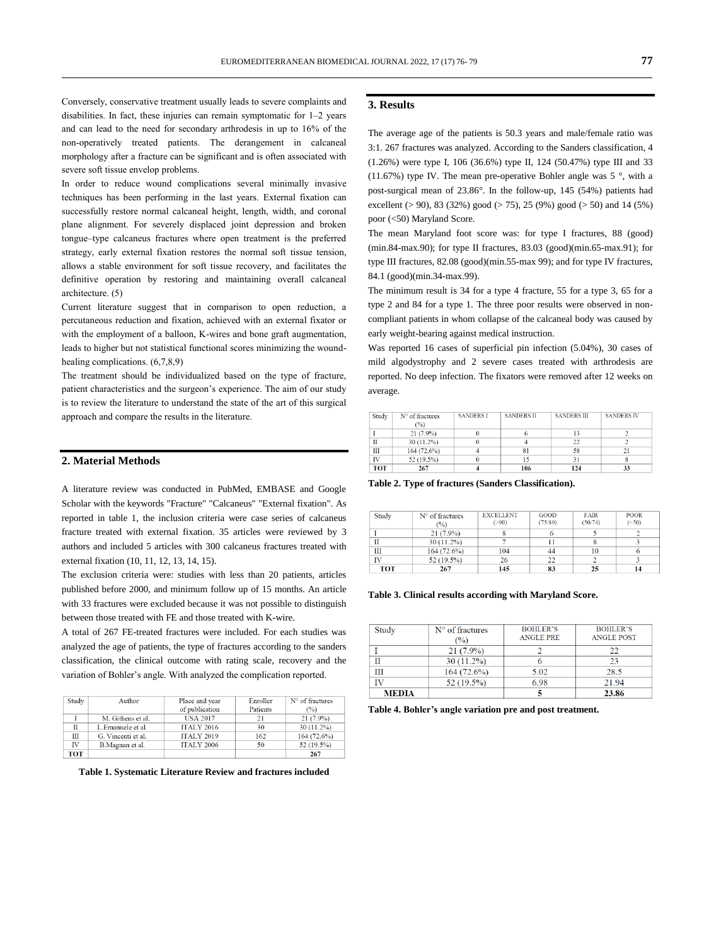Conversely, conservative treatment usually leads to severe complaints and disabilities. In fact, these injuries can remain symptomatic for 1–2 years and can lead to the need for secondary arthrodesis in up to 16% of the non-operatively treated patients. The derangement in calcaneal morphology after a fracture can be significant and is often associated with severe soft tissue envelop problems.

In order to reduce wound complications several minimally invasive techniques has been performing in the last years. External fixation can successfully restore normal calcaneal height, length, width, and coronal plane alignment. For severely displaced joint depression and broken tongue–type calcaneus fractures where open treatment is the preferred strategy, early external fixation restores the normal soft tissue tension, allows a stable environment for soft tissue recovery, and facilitates the definitive operation by restoring and maintaining overall calcaneal architecture. (5)

Current literature suggest that in comparison to open reduction, a percutaneous reduction and fixation, achieved with an external fixator or with the employment of a balloon, K-wires and bone graft augmentation, leads to higher but not statistical functional scores minimizing the woundhealing complications. (6,7,8,9)

The treatment should be individualized based on the type of fracture, patient characteristics and the surgeon's experience. The aim of our study is to review the literature to understand the state of the art of this surgical approach and compare the results in the literature.

## **2. Material Methods**

A literature review was conducted in PubMed, EMBASE and Google Scholar with the keywords "Fracture" "Calcaneus" "External fixation". As reported in table 1, the inclusion criteria were case series of calcaneus fracture treated with external fixation. 35 articles were reviewed by 3 authors and included 5 articles with 300 calcaneus fractures treated with external fixation (10, 11, 12, 13, 14, 15).

The exclusion criteria were: studies with less than 20 patients, articles published before 2000, and minimum follow up of 15 months. An article with 33 fractures were excluded because it was not possible to distinguish between those treated with FE and those treated with K-wire.

A total of 267 FE-treated fractures were included. For each studies was analyzed the age of patients, the type of fractures according to the sanders classification, the clinical outcome with rating scale, recovery and the variation of Bohler's angle. With analyzed the complication reported.

| Author             | Place and year    | Enroller | $N°$ of fractures |
|--------------------|-------------------|----------|-------------------|
|                    | of publication    | Patients | $($ %)            |
| M. Githens et al.  | <b>USA 2017</b>   | 21       | $21(7.9\%)$       |
| L.Emanuele et al.  | <b>ITALY 2016</b> | 30       | 30 (11.2%)        |
| G. Vincenti et al. | <b>ITALY 2019</b> | 162      | 164(72.6%)        |
| B. Magnan et al.   | <b>ITALY 2006</b> | 50       | 52 (19.5%)        |
|                    |                   |          | 267               |
|                    |                   |          |                   |

**Table 1. Systematic Literature Review and fractures included**

## **3. Results**

The average age of the patients is 50.3 years and male/female ratio was 3:1. 267 fractures was analyzed. According to the Sanders classification, 4 (1.26%) were type I, 106 (36.6%) type II, 124 (50.47%) type III and 33 (11.67%) type IV. The mean pre-operative Bohler angle was  $5^\circ$ , with a post-surgical mean of 23.86°. In the follow-up, 145 (54%) patients had excellent ( $> 90$ ), 83 (32%) good ( $> 75$ ), 25 (9%) good ( $> 50$ ) and 14 (5%) poor (<50) Maryland Score.

The mean Maryland foot score was: for type I fractures, 88 (good) (min.84-max.90); for type II fractures, 83.03 (good)(min.65-max.91); for type III fractures, 82.08 (good)(min.55-max 99); and for type IV fractures, 84.1 (good)(min.34-max.99).

The minimum result is 34 for a type 4 fracture, 55 for a type 3, 65 for a type 2 and 84 for a type 1. The three poor results were observed in noncompliant patients in whom collapse of the calcaneal body was caused by early weight-bearing against medical instruction.

Was reported 16 cases of superficial pin infection (5.04%), 30 cases of mild algodystrophy and 2 severe cases treated with arthrodesis are reported. No deep infection. The fixators were removed after 12 weeks on average.

| Study      | $N°$ of fractures | <b>SANDERS I</b> | <b>SANDERS II</b> | <b>SANDERS III</b> | <b>SANDERS IV</b> |
|------------|-------------------|------------------|-------------------|--------------------|-------------------|
|            | (%)               |                  |                   |                    |                   |
|            | $21(7.9\%)$       |                  |                   |                    |                   |
| П          | $30(11.2\%)$      |                  |                   | $\mathfrak{D}$     |                   |
| Ш          | 164(72.6%)        |                  |                   | 58                 | 21                |
| IV         | 52 (19.5%)        |                  |                   | 31                 |                   |
| <b>TOT</b> | 267               |                  | 106               | 124                | 33                |

**Table 2. Type of fractures (Sanders Classification).**

| Study | $No$ of fractures<br>$($ %) | <b>EXCELLENT</b><br>( > 90) | <b>GOOD</b><br>(75/89) | <b>FAIR</b><br>(50/74) | <b>POOR</b><br>(<50) |
|-------|-----------------------------|-----------------------------|------------------------|------------------------|----------------------|
|       | $21(7.9\%)$                 |                             | O                      |                        |                      |
|       | $30(11.2\%)$                |                             |                        |                        |                      |
| Ш     | 164(72.6%)                  | 104                         | 44                     | 10                     |                      |
| IV    | $52(19.5\%)$                | 26                          | 22                     |                        |                      |
| TOT   | 267                         | 145                         | 83                     | 25                     |                      |

**Table 3. Clinical results according with Maryland Score.**

| Study        | $N°$ of fractures<br>(%) | <b>BOHLER'S</b><br><b>ANGLE PRE</b> | <b>BOHLER'S</b><br><b>ANGLE POST</b> |
|--------------|--------------------------|-------------------------------------|--------------------------------------|
|              | $21(7.9\%)$              |                                     | 22                                   |
|              | $30(11.2\%)$             |                                     | 23                                   |
| Ш            | 164(72.6%)               | 5.02                                | 28.5                                 |
| ΙV           | 52 (19.5%)               | 6.98                                | 21.94                                |
| <b>MEDIA</b> |                          |                                     | 23.86                                |

**Table 4. Bohler's angle variation pre and post treatment.**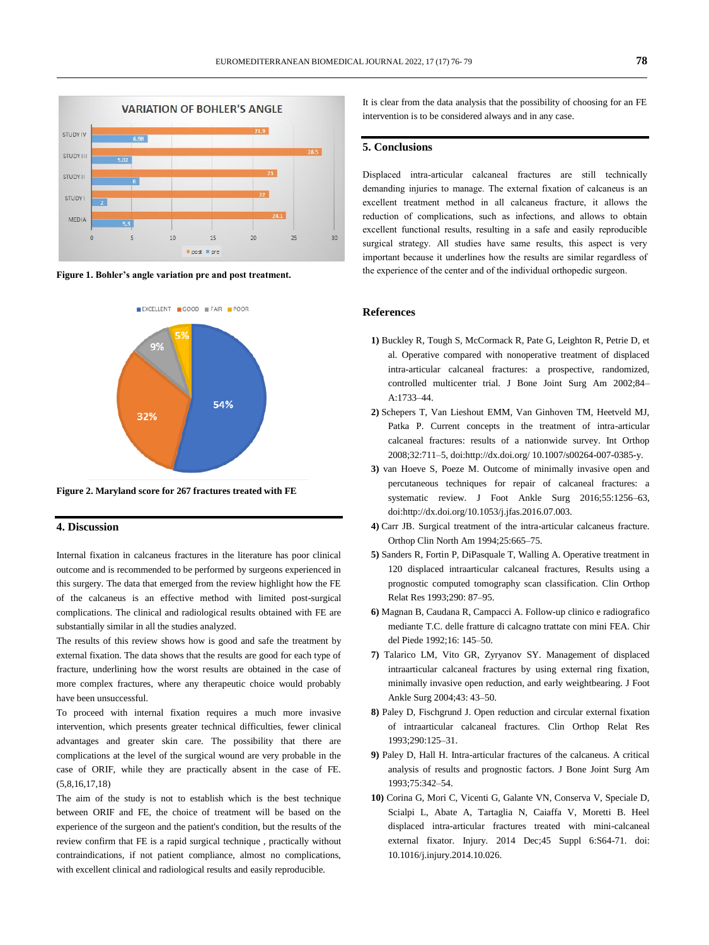





**Figure 2. Maryland score for 267 fractures treated with FE**

#### **4. Discussion**

Internal fixation in calcaneus fractures in the literature has poor clinical outcome and is recommended to be performed by surgeons experienced in this surgery. The data that emerged from the review highlight how the FE of the calcaneus is an effective method with limited post-surgical complications. The clinical and radiological results obtained with FE are substantially similar in all the studies analyzed.

The results of this review shows how is good and safe the treatment by external fixation. The data shows that the results are good for each type of fracture, underlining how the worst results are obtained in the case of more complex fractures, where any therapeutic choice would probably have been unsuccessful.

To proceed with internal fixation requires a much more invasive intervention, which presents greater technical difficulties, fewer clinical advantages and greater skin care. The possibility that there are complications at the level of the surgical wound are very probable in the case of ORIF, while they are practically absent in the case of FE. (5,8,16,17,18)

The aim of the study is not to establish which is the best technique between ORIF and FE, the choice of treatment will be based on the experience of the surgeon and the patient's condition, but the results of the review confirm that FE is a rapid surgical technique , practically without contraindications, if not patient compliance, almost no complications, with excellent clinical and radiological results and easily reproducible.

It is clear from the data analysis that the possibility of choosing for an FE intervention is to be considered always and in any case.

#### **5. Conclusions**

Displaced intra-articular calcaneal fractures are still technically demanding injuries to manage. The external fixation of calcaneus is an excellent treatment method in all calcaneus fracture, it allows the reduction of complications, such as infections, and allows to obtain excellent functional results, resulting in a safe and easily reproducible surgical strategy. All studies have same results, this aspect is very important because it underlines how the results are similar regardless of the experience of the center and of the individual orthopedic surgeon.

#### **References**

- **1)** Buckley R, Tough S, McCormack R, Pate G, Leighton R, Petrie D, et al. Operative compared with nonoperative treatment of displaced intra-articular calcaneal fractures: a prospective, randomized, controlled multicenter trial. J Bone Joint Surg Am 2002;84– A:1733–44.
- **2)** Schepers T, Van Lieshout EMM, Van Ginhoven TM, Heetveld MJ, Patka P. Current concepts in the treatment of intra-articular calcaneal fractures: results of a nationwide survey. Int Orthop 2008;32:711–5, doi:http://dx.doi.org/ 10.1007/s00264-007-0385-y.
- **3)** van Hoeve S, Poeze M. Outcome of minimally invasive open and percutaneous techniques for repair of calcaneal fractures: a systematic review. J Foot Ankle Surg 2016;55:1256–63, doi:http://dx.doi.org/10.1053/j.jfas.2016.07.003.
- **4)** Carr JB. Surgical treatment of the intra-articular calcaneus fracture. Orthop Clin North Am 1994;25:665–75.
- **5)** Sanders R, Fortin P, DiPasquale T, Walling A. Operative treatment in 120 displaced intraarticular calcaneal fractures, Results using a prognostic computed tomography scan classification. Clin Orthop Relat Res 1993;290: 87–95.
- **6)** Magnan B, Caudana R, Campacci A. Follow-up clinico e radiografico mediante T.C. delle fratture di calcagno trattate con mini FEA. Chir del Piede 1992;16: 145–50.
- **7)** Talarico LM, Vito GR, Zyryanov SY. Management of displaced intraarticular calcaneal fractures by using external ring fixation, minimally invasive open reduction, and early weightbearing. J Foot Ankle Surg 2004;43: 43–50.
- **8)** Paley D, Fischgrund J. Open reduction and circular external fixation of intraarticular calcaneal fractures. Clin Orthop Relat Res 1993;290:125–31.
- **9)** Paley D, Hall H. Intra-articular fractures of the calcaneus. A critical analysis of results and prognostic factors. J Bone Joint Surg Am 1993;75:342–54.
- **10)** Corina G, Mori C, Vicenti G, Galante VN, Conserva V, Speciale D, Scialpi L, Abate A, Tartaglia N, Caiaffa V, Moretti B. Heel displaced intra-articular fractures treated with mini-calcaneal external fixator. Injury. 2014 Dec;45 Suppl 6:S64-71. doi: 10.1016/j.injury.2014.10.026.